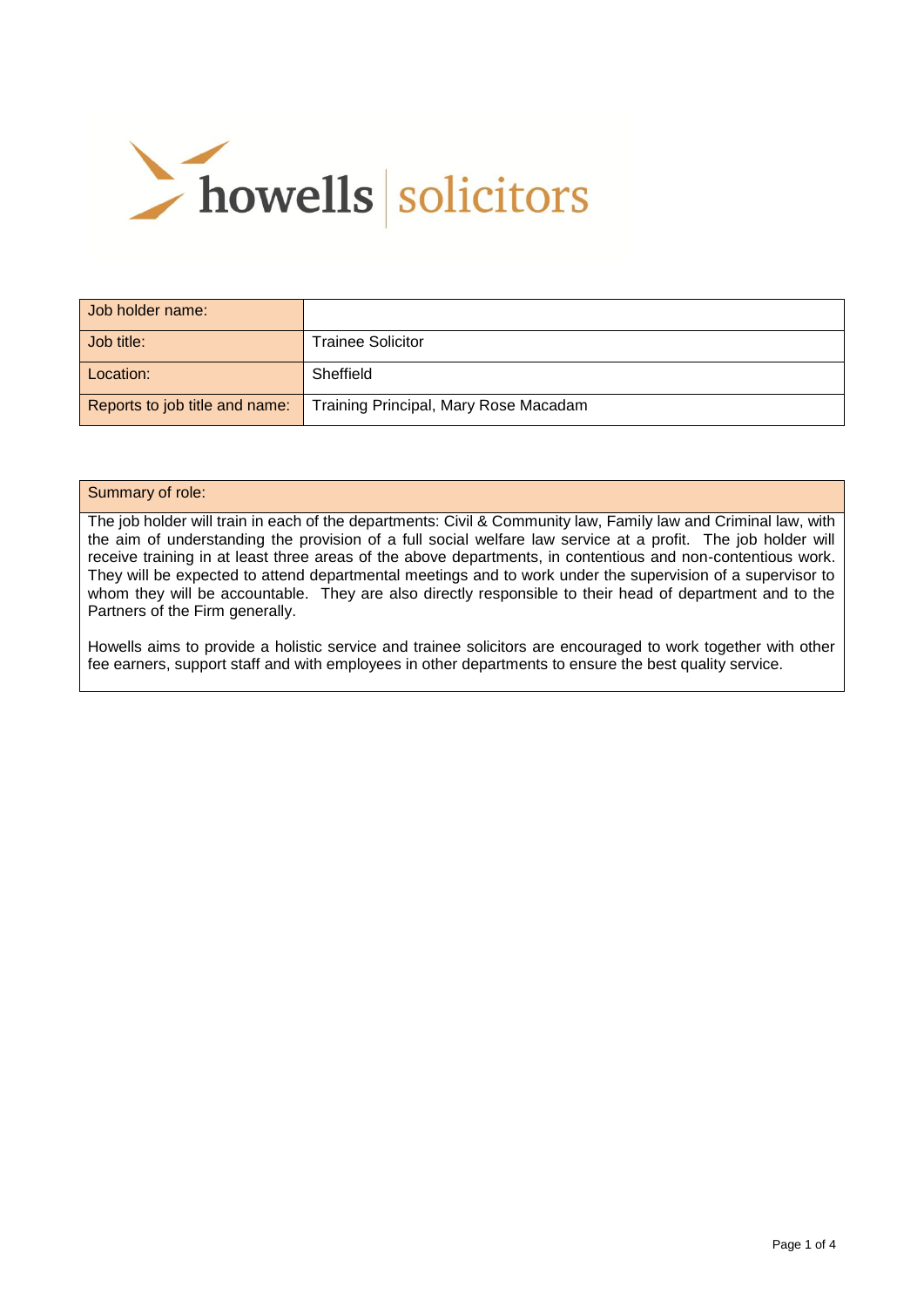

| Job holder name:               |                                       |
|--------------------------------|---------------------------------------|
| Job title:                     | Trainee Solicitor                     |
| Location:                      | Sheffield                             |
| Reports to job title and name: | Training Principal, Mary Rose Macadam |

#### Summary of role:

The job holder will train in each of the departments: Civil & Community law, Family law and Criminal law, with the aim of understanding the provision of a full social welfare law service at a profit. The job holder will receive training in at least three areas of the above departments, in contentious and non-contentious work. They will be expected to attend departmental meetings and to work under the supervision of a supervisor to whom they will be accountable. They are also directly responsible to their head of department and to the Partners of the Firm generally.

Howells aims to provide a holistic service and trainee solicitors are encouraged to work together with other fee earners, support staff and with employees in other departments to ensure the best quality service.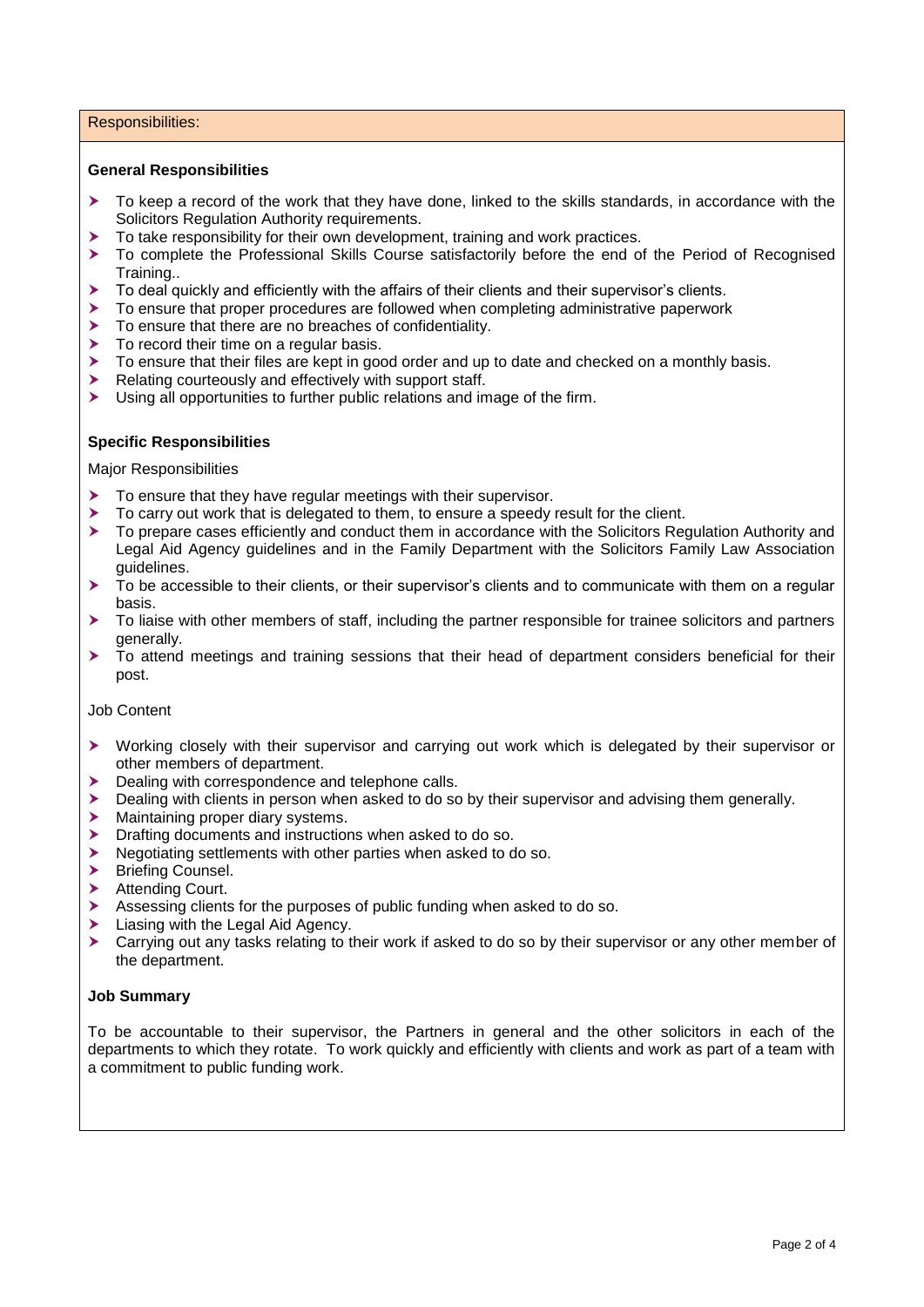### Responsibilities:

## **General Responsibilities**

- $\triangleright$  To keep a record of the work that they have done, linked to the skills standards, in accordance with the Solicitors Regulation Authority requirements.
- To take responsibility for their own development, training and work practices.
- To complete the Professional Skills Course satisfactorily before the end of the Period of Recognised Training..
- $\triangleright$  To deal quickly and efficiently with the affairs of their clients and their supervisor's clients.
- To ensure that proper procedures are followed when completing administrative paperwork
- To ensure that there are no breaches of confidentiality.
- $\triangleright$  To record their time on a regular basis.
- To ensure that their files are kept in good order and up to date and checked on a monthly basis.
- Relating courteously and effectively with support staff.
- Using all opportunities to further public relations and image of the firm.

## **Specific Responsibilities**

Major Responsibilities

- To ensure that they have regular meetings with their supervisor.
- $\triangleright$  To carry out work that is delegated to them, to ensure a speedy result for the client.
- ▶ To prepare cases efficiently and conduct them in accordance with the Solicitors Regulation Authority and Legal Aid Agency guidelines and in the Family Department with the Solicitors Family Law Association guidelines.
- $\triangleright$  To be accessible to their clients, or their supervisor's clients and to communicate with them on a regular basis.
- $\triangleright$  To liaise with other members of staff, including the partner responsible for trainee solicitors and partners generally.
- To attend meetings and training sessions that their head of department considers beneficial for their post.

### Job Content

- Working closely with their supervisor and carrying out work which is delegated by their supervisor or other members of department.
- Dealing with correspondence and telephone calls.
- **Dealing with clients in person when asked to do so by their supervisor and advising them generally.**
- Maintaining proper diary systems.
- **Drafting documents and instructions when asked to do so.**
- Negotiating settlements with other parties when asked to do so.
- > Briefing Counsel.
- > Attending Court.
- Assessing clients for the purposes of public funding when asked to do so.
- Liasing with the Legal Aid Agency.
- Carrying out any tasks relating to their work if asked to do so by their supervisor or any other member of the department.

# **Job Summary**

To be accountable to their supervisor, the Partners in general and the other solicitors in each of the departments to which they rotate. To work quickly and efficiently with clients and work as part of a team with a commitment to public funding work.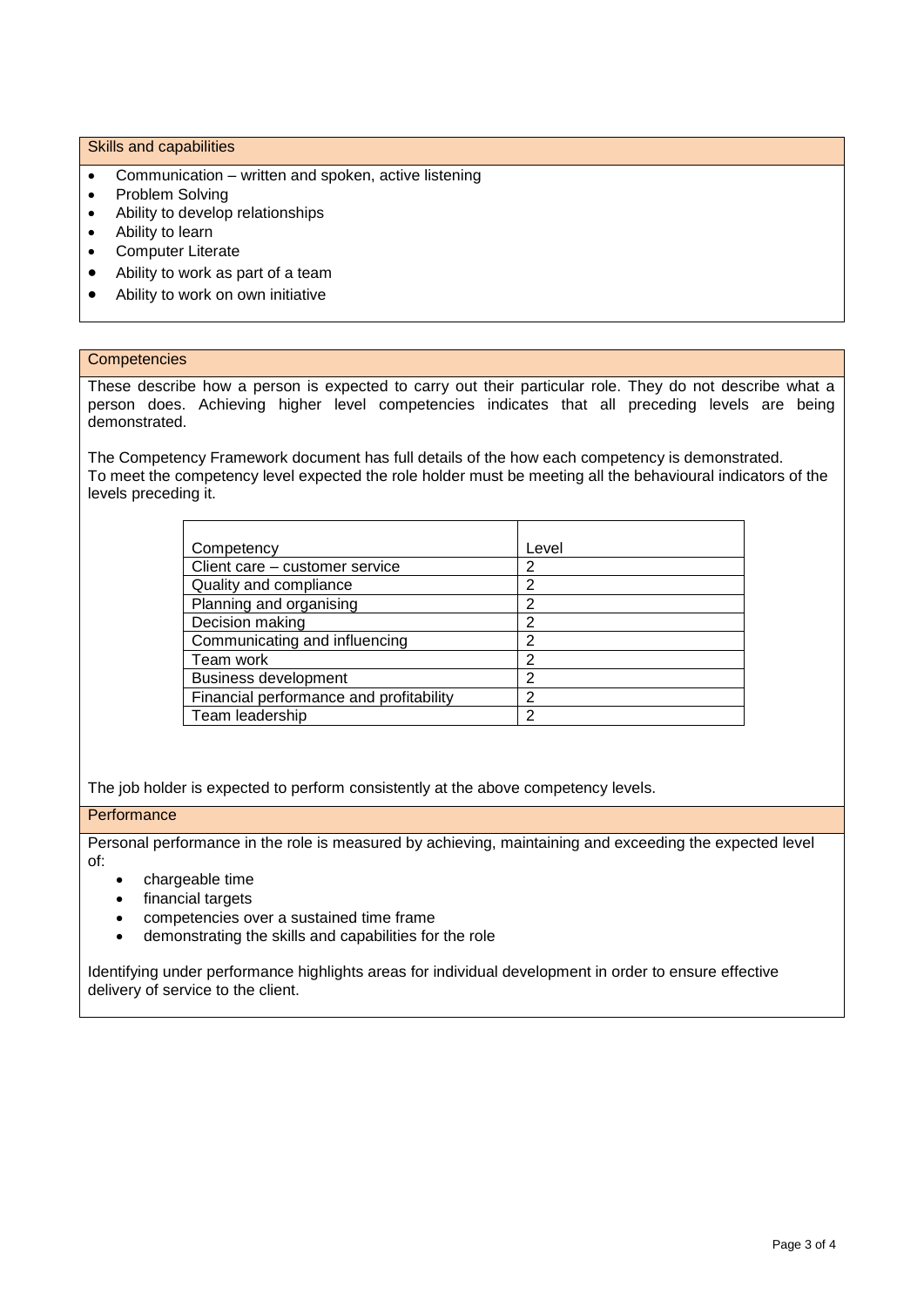### Skills and capabilities

- Communication written and spoken, active listening
- Problem Solving
- Ability to develop relationships
- Ability to learn
- Computer Literate
- Ability to work as part of a team
- Ability to work on own initiative

### **Competencies**

These describe how a person is expected to carry out their particular role. They do not describe what a person does. Achieving higher level competencies indicates that all preceding levels are being demonstrated.

The Competency Framework document has full details of the how each competency is demonstrated. To meet the competency level expected the role holder must be meeting all the behavioural indicators of the levels preceding it.

| Competency                              | Level |
|-----------------------------------------|-------|
| Client care - customer service          |       |
| Quality and compliance                  | 2     |
| Planning and organising                 | 2     |
| Decision making                         | っ     |
| Communicating and influencing           | ◠     |
| Team work                               | 2     |
| <b>Business development</b>             | っ     |
| Financial performance and profitability | っ     |
| Team leadership                         |       |

The job holder is expected to perform consistently at the above competency levels.

## **Performance**

Personal performance in the role is measured by achieving, maintaining and exceeding the expected level of:

- chargeable time
- financial targets
- competencies over a sustained time frame
- demonstrating the skills and capabilities for the role

Identifying under performance highlights areas for individual development in order to ensure effective delivery of service to the client.